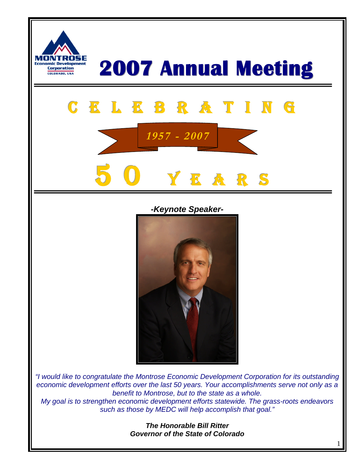

#### *-Keynote Speaker-*



*"I would like to congratulate the Montrose Economic Development Corporation for its outstanding economic development efforts over the last 50 years. Your accomplishments serve not only as a benefit to Montrose, but to the state as a whole. My goal is to strengthen economic development efforts statewide. The grass-roots endeavors such as those by MEDC will help accomplish that goal."*

> *The Honorable Bill Ritter Governor of the State of Colorado*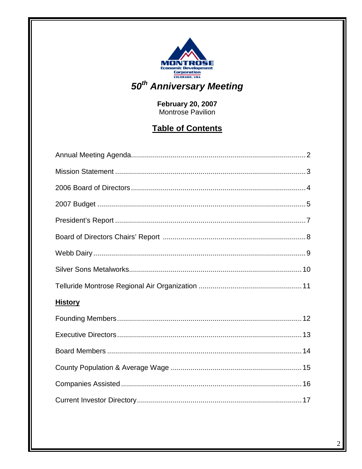

# February 20, 2007<br>Montrose Pavilion

# **Table of Contents**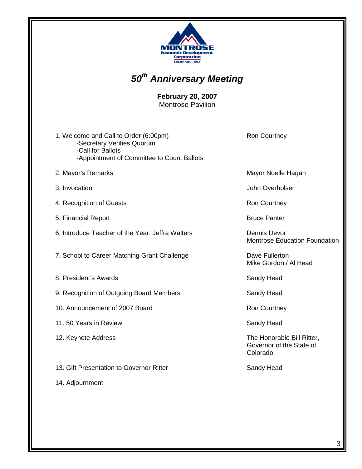

# *50th Anniversary Meeting*

**February 20, 2007** Montrose Pavilion

- 1. Welcome and Call to Order (6:00pm) Ron Courtney -Secretary Verifies Quorum -Call for Ballots -Appointment of Committee to Count Ballots
- 2. Mayor's Remarks **Mayor** Noelle Hagan
- 
- 4. Recognition of Guests **Ron Courtney** Ron Courtney
- 5. Financial Report **Bruce Panter** Bruce Panter
- 6. Introduce Teacher of the Year: Jeffra Walters **Dennis Devor**
- 7. School to Career Matching Grant Challenge Dave Fullerton
- 8. President's Awards **Sandy Head** Sandy Head
- 9. Recognition of Outgoing Board Members **Sandy Head**
- 10. Announcement of 2007 Board Ron Courtney
- 11. 50 Years in Review Sandy Head
- 
- 13. Gift Presentation to Governor Ritter Sandy Head
- 14. Adjournment

3. Invocation John Overholser

Montrose Education Foundation

Mike Gordon / Al Head

12. Keynote Address **The Honorable Bill Ritter**, Governor of the State of Colorado

3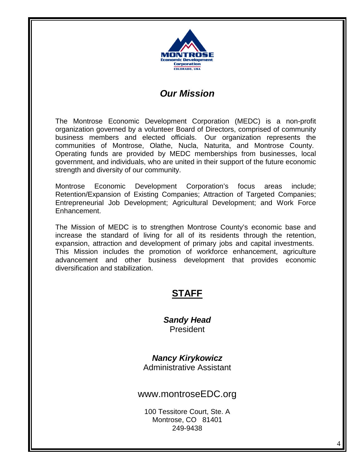

# *Our Mission*

The Montrose Economic Development Corporation (MEDC) is a non-profit organization governed by a volunteer Board of Directors, comprised of community business members and elected officials. Our organization represents the communities of Montrose, Olathe, Nucla, Naturita, and Montrose County. Operating funds are provided by MEDC memberships from businesses, local government, and individuals, who are united in their support of the future economic strength and diversity of our community.

Montrose Economic Development Corporation's focus areas include; Retention/Expansion of Existing Companies; Attraction of Targeted Companies; Entrepreneurial Job Development; Agricultural Development; and Work Force Enhancement.

The Mission of MEDC is to strengthen Montrose County's economic base and increase the standard of living for all of its residents through the retention, expansion, attraction and development of primary jobs and capital investments. This Mission includes the promotion of workforce enhancement, agriculture advancement and other business development that provides economic diversification and stabilization.

### **STAFF**

*Sandy Head* President

#### *Nancy Kirykowicz* Administrative Assistant

www.montroseEDC.org

100 Tessitore Court, Ste. A Montrose, CO 81401 249-9438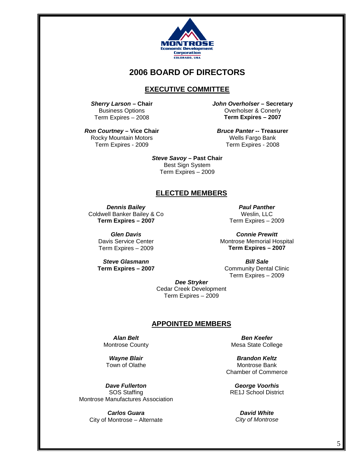

#### **2006 BOARD OF DIRECTORS**

#### **EXECUTIVE COMMITTEE**

*Sherry Larson* **– Chair** Business Options Term Expires – 2008

*Ron Courtney* **– Vice Chair** Rocky Mountain Motors Term Expires - 2009

*John Overholser* **– Secretary** Overholser & Conerly **Term Expires – 2007**

*Bruce Panter* **-- Treasurer** Wells Fargo Bank Term Expires - 2008

*Steve Savoy* **– Past Chair** Best Sign System Term Expires – 2009

#### **ELECTED MEMBERS**

*Dennis Bailey* Coldwell Banker Bailey & Co **Term Expires – 2007**

> *Glen Davis* Davis Service Center Term Expires – 2009

*Steve Glasmann* **Term Expires – 2007**

*Paul Panther* Weslin, LLC Term Expires – 2009

*Connie Prewitt* Montrose Memorial Hospital **Term Expires – 2007**

*Bill Sale* Community Dental Clinic Term Expires – 2009

*Dee Stryker* Cedar Creek Development Term Expires – 2009

#### **APPOINTED MEMBERS**

*Alan Belt* Montrose County

*Wayne Blair* Town of Olathe

*Dave Fullerton* SOS Staffing Montrose Manufactures Association

> *Carlos Guara* City of Montrose – Alternate

*Ben Keefer* Mesa State College

*Brandon Keltz* Montrose Bank Chamber of Commerce

*George Voorhis* RE1J School District

*David White City of Montrose*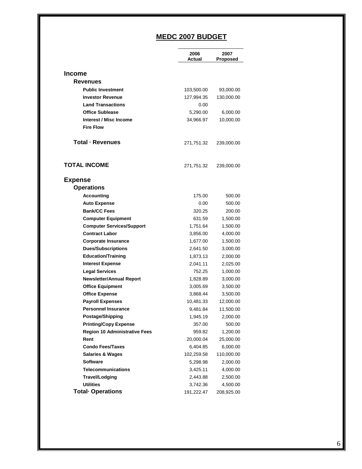# **MEDC 2007 BUDGET**

|                                      | 2006       | 2007       |
|--------------------------------------|------------|------------|
|                                      | Actual     | Proposed   |
| <b>Income</b>                        |            |            |
| <b>Revenues</b>                      |            |            |
| <b>Public Investment</b>             | 103,500.00 | 93,000.00  |
| <b>Investor Revenue</b>              | 127,994.35 | 130,000.00 |
| <b>Land Transactions</b>             | 0.00       |            |
| <b>Office Sublease</b>               | 5,290.00   | 6,000.00   |
| Interest / Misc Income               | 34,966.97  | 10,000.00  |
| <b>Fire Flow</b>                     |            |            |
|                                      |            |            |
| Total - Revenues                     | 271,751.32 | 239,000.00 |
|                                      |            |            |
|                                      |            |            |
| <b>TOTAL INCOME</b>                  | 271,751.32 | 239,000.00 |
|                                      |            |            |
| <b>Expense</b>                       |            |            |
| <b>Operations</b>                    |            |            |
| <b>Accounting</b>                    | 175.00     | 500.00     |
| <b>Auto Expense</b>                  | 0.00       | 500.00     |
| <b>Bank/CC Fees</b>                  | 320.25     | 200.00     |
| <b>Computer Equipment</b>            | 631.59     | 1,500.00   |
| <b>Computer Services/Support</b>     | 1,751.64   | 1,500.00   |
| <b>Contract Labor</b>                | 3,856.00   | 4,000.00   |
| <b>Corporate Insurance</b>           | 1,677.00   | 1,500.00   |
| <b>Dues/Subscriptions</b>            | 2,641.50   | 3,000.00   |
| <b>Education/Training</b>            | 1,873.13   | 2,000.00   |
| <b>Interest Expense</b>              | 2,041.11   | 2,025.00   |
| <b>Legal Services</b>                | 752.25     | 1,000.00   |
| <b>Newsletter/Annual Report</b>      | 1,828.89   | 3,000.00   |
| <b>Office Equipment</b>              | 3,005.69   | 3,500.00   |
| <b>Office Expense</b>                | 3,868.44   | 3,500.00   |
| <b>Payroll Expenses</b>              | 10,481.33  | 12,000.00  |
| <b>Personnel Insurance</b>           | 9,481.84   | 11,500.00  |
| Postage/Shipping                     | 1,945.19   | 2,000.00   |
| <b>Printing/Copy Expense</b>         | 357.00     | 500.00     |
| <b>Region 10 Administrative Fees</b> | 959.82     | 1,200.00   |
| Rent                                 | 20,000.04  | 25,000.00  |
| <b>Condo Fees/Taxes</b>              | 6,404.85   | 6,000.00   |
| <b>Salaries &amp; Wages</b>          | 102,259.58 | 110,000.00 |
| <b>Software</b>                      | 5,298.98   | 2,000.00   |
| <b>Telecommunications</b>            | 3,425.11   | 4,000.00   |
| Travel/Lodging                       | 2,443.88   | 2,500.00   |
| <b>Utilities</b>                     | 3,742.36   | 4,500.00   |
| <b>Total Operations</b>              | 191,222.47 | 208,925.00 |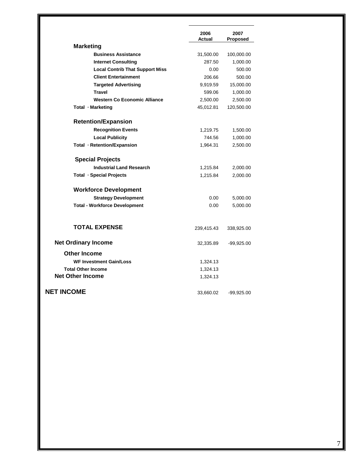|                                        | 2006<br><b>Actual</b> | 2007<br>Proposed |
|----------------------------------------|-----------------------|------------------|
| <b>Marketing</b>                       |                       |                  |
| <b>Business Assistance</b>             | 31,500.00             | 100,000.00       |
| <b>Internet Consulting</b>             | 287.50                | 1,000.00         |
| <b>Local Contrib That Support Miss</b> | 0.00                  | 500.00           |
| <b>Client Entertainment</b>            | 206.66                | 500.00           |
| <b>Targeted Advertising</b>            | 9,919.59              | 15,000.00        |
| <b>Travel</b>                          | 599.06                | 1,000.00         |
| <b>Western Co Economic Alliance</b>    | 2,500.00              | 2,500.00         |
| Total · Marketing                      | 45,012.81             | 120,500.00       |
| <b>Retention/Expansion</b>             |                       |                  |
| <b>Recognition Events</b>              | 1,219.75              | 1,500.00         |
| <b>Local Publicity</b>                 | 744.56                | 1,000.00         |
| Total · Retention/Expansion            | 1,964.31              | 2,500.00         |
| <b>Special Projects</b>                |                       |                  |
| <b>Industrial Land Research</b>        | 1,215.84              | 2,000.00         |
| Total · Special Projects               | 1,215.84              | 2,000.00         |
| <b>Workforce Development</b>           |                       |                  |
| <b>Strategy Development</b>            | 0.00                  | 5,000.00         |
| <b>Total - Workforce Development</b>   | 0.00                  | 5,000.00         |
| <b>TOTAL EXPENSE</b>                   |                       |                  |
|                                        | 239,415.43            | 338,925.00       |
| <b>Net Ordinary Income</b>             | 32,335.89             | $-99,925.00$     |
| <b>Other Income</b>                    |                       |                  |
| <b>WF Investment Gain/Loss</b>         | 1,324.13              |                  |
| <b>Total Other Income</b>              | 1,324.13              |                  |
| <b>Net Other Income</b>                | 1,324.13              |                  |
| <b>NET INCOME</b>                      | 33,660.02             | $-99,925.00$     |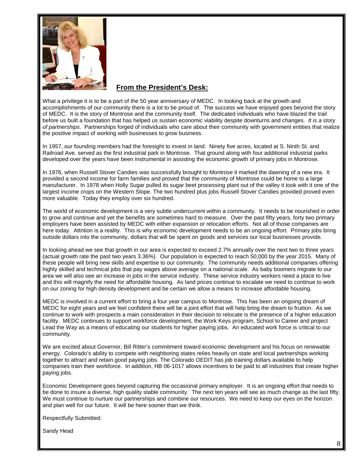

#### **From the President's Desk:**

What a privilege it is to be a part of the 50 year anniversary of MEDC. In looking back at the growth and accomplishments of our community there is a lot to be proud of. The success we have enjoyed goes beyond the story of MEDC. It is the story of Montrose and the community itself. The dedicated individuals who have blazed the trail before us built a foundation that has helped us sustain economic viability despite downturns and changes. *It is a story of partnerships*. Partnerships forged of individuals who care about their community with government entities that realize the positive impact of working *with* businesses to *grow* business.

In 1957, our founding members had the foresight to invest in land. Ninety five acres, located at S. Ninth St. and Railroad Ave. served as the first industrial park in Montrose. That ground along with four additional industrial parks developed over the years have been instrumental in assisting the economic growth of primary jobs in Montrose.

In 1976, when Russell Stover Candies was successfully brought to Montrose it marked the dawning of a new era. It provided a second income for farm families and proved that the community of Montrose could be home to a large manufacturer. In 1978 when Holly Sugar pulled its sugar beet processing plant out of the valley it took with it one of the largest income crops on the Western Slope. The two hundred plus jobs Russell Stover Candies provided proved even more valuable. Today they employ over six hundred.

The world of economic development is a very subtle undercurrent within a community. It needs to be nourished in order to grow and continue and yet the benefits are sometimes hard to measure. Over the past fifty years, forty two primary employers have been assisted by MEDC with either expansion or relocation efforts. Not all of those companies are here today. Attrition is a reality. This is why economic development needs to be an ongoing effort. Primary jobs bring outside dollars into the community, dollars that will be spent on goods and services our local businesses provide.

In looking ahead we see that growth in our area is expected to exceed 2.7% annually over the next two to three years (actual growth rate the past two years 3.36%). Our population is expected to reach 50,000 by the year 2015. Many of these people will bring new skills and expertise to our community. The community needs additional companies offering highly skilled and technical jobs that pay wages above average on a national scale. As baby boomers migrate to our area we will also see an increase in jobs in the service industry. These service industry workers need a place to live and this will magnify the need for affordable housing. As land prices continue to escalate we need to continue to work on our zoning for high density development and be certain we allow a means to increase affordable housing.

MEDC is involved in a current effort to bring a four year campus to Montrose. This has been an ongoing dream of MEDC for eight years and we feel confident there will be a joint effort that will help bring the dream to fruition. As we continue to work with prospects a main consideration in their decision to relocate is the presence of a higher education facility. MEDC continues to support workforce development, the Work Keys program, School to Career and project Lead the Way as a means of educating our students for higher paying jobs. An educated work force is critical to our community.

We are excited about Governor, Bill Ritter's commitment toward economic development and his focus on renewable energy. Colorado's ability to compete with neighboring states relies heavily on state and local partnerships working together to attract and retain good paying jobs. The Colorado OEDIT has job training dollars available to help companies train their workforce. In addition, HB 06-1017 allows incentives to be paid to all industries that create higher paying jobs.

Economic Development goes beyond capturing the occasional primary employer. It is an ongoing effort that needs to be done to insure a diverse, high quality stable community. The next ten years will see as much change as the last fifty. We must continue to nurture our partnerships and combine our resources. We need to keep our eves on the horizon and plan well for our future. It will be here sooner than we think.

Respectfully Submitted:

Sandy Head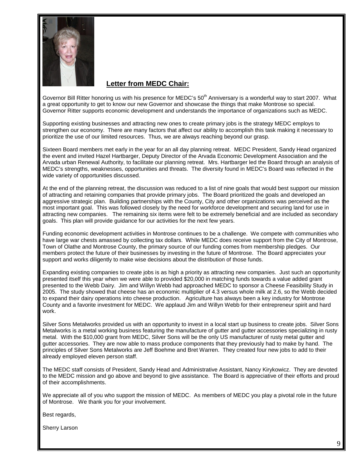

#### **Letter from MEDC Chair:**

Governor Bill Ritter honoring us with his presence for MEDC's 50<sup>th</sup> Anniversary is a wonderful way to start 2007. What a great opportunity to get to know our new Governor and showcase the things that make Montrose so special. Governor Ritter supports economic development and understands the importance of organizations such as MEDC.

Supporting existing businesses and attracting new ones to create primary jobs is the strategy MEDC employs to strengthen our economy. There are many factors that affect our ability to accomplish this task making it necessary to prioritize the use of our limited resources. Thus, we are always reaching beyond our grasp.

Sixteen Board members met early in the year for an all day planning retreat. MEDC President, Sandy Head organized the event and invited Hazel Hartbarger, Deputy Director of the Arvada Economic Development Association and the Arvada urban Renewal Authority, to facilitate our planning retreat. Mrs. Hartbarger led the Board through an analysis of MEDC's strengths, weaknesses, opportunities and threats. The diversity found in MEDC's Board was reflected in the wide variety of opportunities discussed.

At the end of the planning retreat, the discussion was reduced to a list of nine goals that would best support our mission of attracting and retaining companies that provide primary jobs. The Board prioritized the goals and developed an aggressive strategic plan. Building partnerships with the County, City and other organizations was perceived as the most important goal. This was followed closely by the need for workforce development and securing land for use in attracting new companies. The remaining six items were felt to be extremely beneficial and are included as secondary goals. This plan will provide guidance for our activities for the next few years.

Funding economic development activities in Montrose continues to be a challenge. We compete with communities who have large war chests amassed by collecting tax dollars. While MEDC does receive support from the City of Montrose, Town of Olathe and Montrose County, the primary source of our funding comes from membership pledges. Our members protect the future of their businesses by investing in the future of Montrose. The Board appreciates your support and works diligently to make wise decisions about the distribution of those funds.

Expanding existing companies to create jobs is as high a priority as attracting new companies. Just such an opportunity presented itself this year when we were able to provided \$20,000 in matching funds towards a value added grant presented to the Webb Dairy. Jim and Willyn Webb had approached MEDC to sponsor a Cheese Feasibility Study in 2005. The study showed that cheese has an economic multiplier of 4.3 versus whole milk at 2.6, so the Webb decided to expand their dairy operations into cheese production. Agriculture has always been a key industry for Montrose County and a favorite investment for MEDC. We applaud Jim and Willyn Webb for their entrepreneur spirit and hard work.

Silver Sons Metalworks provided us with an opportunity to invest in a local start up business to create jobs. Silver Sons Metalworks is a metal working business featuring the manufacture of gutter and gutter accessories specializing in rusty metal. With the \$10,000 grant from MEDC, Silver Sons will be the only US manufacturer of rusty metal gutter and gutter accessories. They are now able to mass produce components that they previously had to make by hand. The principles of Silver Sons Metalworks are Jeff Boehme and Bret Warren. They created four new jobs to add to their already employed eleven person staff.

The MEDC staff consists of President, Sandy Head and Administrative Assistant, Nancy Kirykowicz. They are devoted to the MEDC mission and go above and beyond to give assistance. The Board is appreciative of their efforts and proud of their accomplishments.

We appreciate all of you who support the mission of MEDC. As members of MEDC you play a pivotal role in the future of Montrose. We thank you for your involvement.

Best regards,

Sherry Larson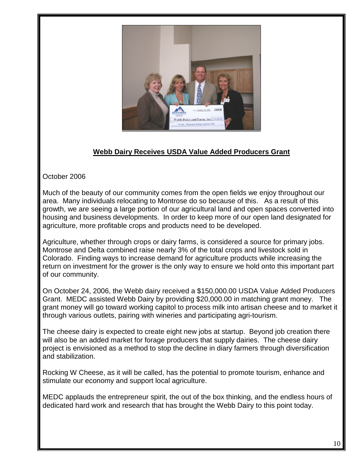

#### **Webb Dairy Receives USDA Value Added Producers Grant**

October 2006

Much of the beauty of our community comes from the open fields we enjoy throughout our area. Many individuals relocating to Montrose do so because of this. As a result of this growth, we are seeing a large portion of our agricultural land and open spaces converted into housing and business developments. In order to keep more of our open land designated for agriculture, more profitable crops and products need to be developed.

Agriculture, whether through crops or dairy farms, is considered a source for primary jobs. Montrose and Delta combined raise nearly 3% of the total crops and livestock sold in Colorado. Finding ways to increase demand for agriculture products while increasing the return on investment for the grower is the only way to ensure we hold onto this important part of our community.

On October 24, 2006, the Webb dairy received a \$150,000.00 USDA Value Added Producers Grant. MEDC assisted Webb Dairy by providing \$20,000.00 in matching grant money. The grant money will go toward working capitol to process milk into artisan cheese and to market it through various outlets, pairing with wineries and participating agri-tourism.

The cheese dairy is expected to create eight new jobs at startup. Beyond job creation there will also be an added market for forage producers that supply dairies. The cheese dairy project is envisioned as a method to stop the decline in diary farmers through diversification and stabilization.

Rocking W Cheese, as it will be called, has the potential to promote tourism, enhance and stimulate our economy and support local agriculture.

MEDC applauds the entrepreneur spirit, the out of the box thinking, and the endless hours of dedicated hard work and research that has brought the Webb Dairy to this point today.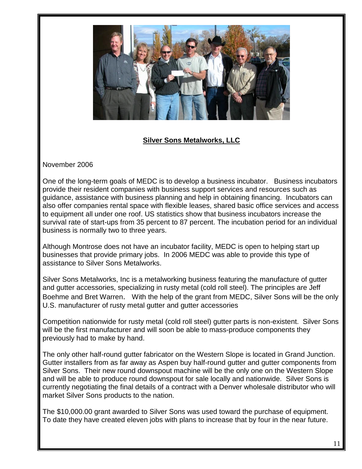

#### **Silver Sons Metalworks, LLC**

November 2006

One of the long-term goals of MEDC is to develop a business incubator. Business incubators provide their resident companies with business support services and resources such as guidance, assistance with business planning and help in obtaining financing. Incubators can also offer companies rental space with flexible leases, shared basic office services and access to equipment all under one roof. US statistics show that business incubators increase the survival rate of start-ups from 35 percent to 87 percent. The incubation period for an individual business is normally two to three years.

Although Montrose does not have an incubator facility, MEDC is open to helping start up businesses that provide primary jobs. In 2006 MEDC was able to provide this type of assistance to Silver Sons Metalworks.

Silver Sons Metalworks, Inc is a metalworking business featuring the manufacture of gutter and gutter accessories, specializing in rusty metal (cold roll steel). The principles are Jeff Boehme and Bret Warren. With the help of the grant from MEDC, Silver Sons will be the only U.S. manufacturer of rusty metal gutter and gutter accessories

Competition nationwide for rusty metal (cold roll steel) gutter parts is non-existent. Silver Sons will be the first manufacturer and will soon be able to mass-produce components they previously had to make by hand.

The only other half-round gutter fabricator on the Western Slope is located in Grand Junction. Gutter installers from as far away as Aspen buy half-round gutter and gutter components from Silver Sons. Their new round downspout machine will be the only one on the Western Slope and will be able to produce round downspout for sale locally and nationwide. Silver Sons is currently negotiating the final details of a contract with a Denver wholesale distributor who will market Silver Sons products to the nation.

The \$10,000.00 grant awarded to Silver Sons was used toward the purchase of equipment. To date they have created eleven jobs with plans to increase that by four in the near future.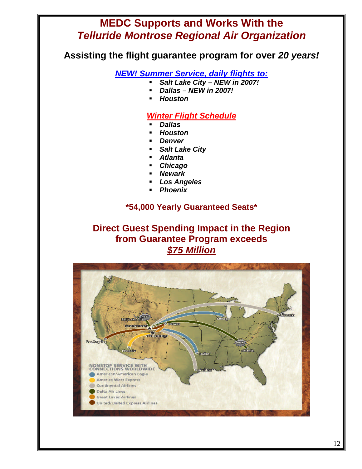# **MEDC Supports and Works With the** *Telluride Montrose Regional Air Organization*

**Assisting the flight guarantee program for over** *20 years!*

*NEW! Summer Service, daily flights to:*

- *Salt Lake City NEW in 2007!*
- *Dallas NEW in 2007!*
- *Houston*

### *Winter Flight Schedule*

- *Dallas*
- *Houston*
- *Denver*
- *Salt Lake City*
- *Atlanta*
- *Chicago*
- *Newark*
- *Los Angeles*
- *Phoenix*

### **\*54,000 Yearly Guaranteed Seats\***

**Direct Guest Spending Impact in the Region from Guarantee Program exceeds** *\$75 Million*

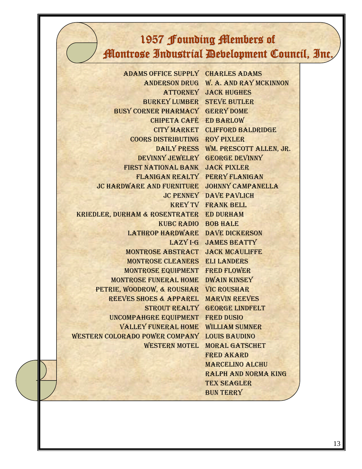# 1957 Founding Members of Montrose Industrial Development Council, Inc.

Marcelino Alchu

Tex Seagler **BUN TERRY** 

Ralph and Norma King

Adams Office Supply Charles Adams Anderson Drug W. A. and Ray McKinnon Attorney Jack Hughes Burkey Lumber Steve Butler Busy Corner Pharmacy Gerry Dome Chipeta Café Ed Barlow CITY MARKET CLIFFORD BALDRIDGE Coors Distributing Roy Pixler DAILY PRESS WM. PRESCOTT ALLEN, JR. DeVinny Jewelry George DeVinny First National Bank Jack Pixler Flanigan Realty Perry Flanigan JC Hardware and Furniture Johnny Campanella JC Penney Dave Pavlich KREY TV Frank Bell Kriedler, Durham & Rosentrater Ed Durham KUBC Radio Bob Hale Lathrop Hardware Dave Dickerson LAZY I-G JAMES BEATTY Montrose Abstract Jack McAuliffe Montrose Cleaners Eli Landers Montrose Equipment Fred Flower Montrose Funeral Home Dwain Kinsey Petrie, Woodrow, & Roushar Vic Roushar Reeves Shoes & Apparel Marvin Reeves Strout Realty George Lindfelt Uncompahgre Equipment Fred Dusio Valley Funeral Home William Sumner WESTERN COLORADO POWER COMPANY LOUIS BAUDINO WESTERN MOTEL MORAL GATSCHET Fred Akard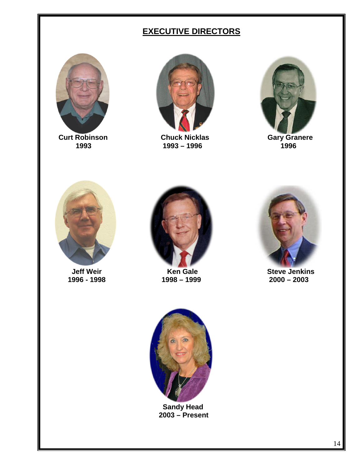# **EXECUTIVE DIRECTORS**



**Curt Robinson Chuck Nicklas Gary Granere**



1993 – 1996









**Jeff Weir Meir Connect Connect Connect Act Area Connect Act Area Connect Area Connect Area Connect Area Connect Area Connect Area Connect Area Connect Area Connect Area Connect Area Connect Area Connect Area Connect A 1996 - 1998 1998 – 1999 2000 – 2003**



**Sandy Head 2003 – Present**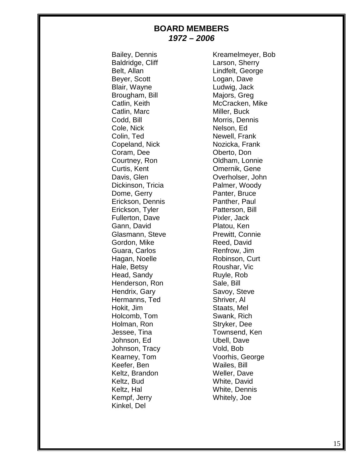#### **BOARD MEMBERS** *1972 – 2006*

Baldridge, Cliff Larson, Sherry Beyer, Scott Logan, Dave Blair, Wayne Ludwig, Jack Brougham, Bill Majors, Greg Catlin, Marc Miller, Buck Codd, Bill Morris, Dennis Cole, Nick Nelson, Ed Colin, Ted Newell, Frank Copeland, Nick Nozicka, Frank Coram, Dee **Oberto**, Don Courtney, Ron **Oldham, Lonnie** Curtis, Kent **Curtis, Kent** Curtis, Cene Dickinson, Tricia Palmer, Woody Dome, Gerry **Panter**, Bruce Erickson, Dennis Panther, Paul Erickson, Tyler Patterson, Bill Fullerton, Dave Pixler, Jack Gann, David **Platou**, Ken Glasmann, Steve **Prewitt, Connie** Gordon, Mike Reed, David Guara, Carlos **Renfrow**, Jim Hagan, Noelle Robinson, Curt Hale, Betsy **Roushar, Vice** Head, Sandy Ruyle, Rob Henderson, Ron Sale, Bill Hendrix, Gary Savoy, Steve Hermanns, Ted Shriver, Al Hokit, Jim Staats, Mel Holcomb, Tom Swank, Rich Holman, Ron Stryker, Dee Jessee, Tina Townsend, Ken Johnson, Ed Vbell, Dave Johnson, Tracy Vold, Bob Keefer, Ben Wailes, Bill Keltz, Brandon Weller, Dave Keltz, Bud White, David Keltz, Hal White, Dennis Kempf, Jerry Whitely, Joe Kinkel, Del

Bailey, Dennis Kreamelmeyer, Bob Belt, Allan Lindfelt, George Catlin, Keith McCracken, Mike Davis, Glen **Overholser**, John Kearney, Tom Voorhis, George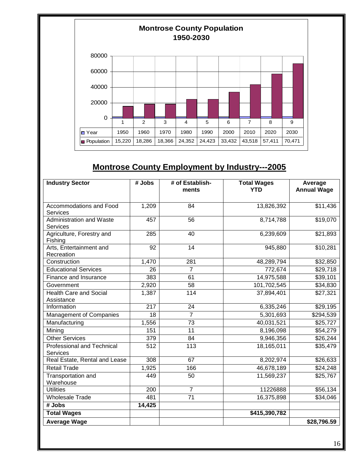

# **Montrose County Employment by Industry---2005**

| <b>Industry Sector</b>                               | # Jobs | # of Establish-<br>ments | <b>Total Wages</b><br><b>YTD</b> | Average<br><b>Annual Wage</b> |
|------------------------------------------------------|--------|--------------------------|----------------------------------|-------------------------------|
| Accommodations and Food                              | 1,209  | 84                       | 13,826,392                       | \$11,436                      |
| Services                                             |        |                          |                                  |                               |
| <b>Administration and Waste</b><br><b>Services</b>   | 457    | 56                       | 8,714,788                        | \$19,070                      |
| Agriculture, Forestry and<br>Fishing                 | 285    | 40                       | 6,239,609                        | \$21,893                      |
| Arts, Entertainment and<br>Recreation                | 92     | $\overline{14}$          | 945,880                          | \$10,281                      |
| Construction                                         | 1,470  | 281                      | 48,289,794                       | \$32,850                      |
| <b>Educational Services</b>                          | 26     | $\overline{7}$           | 772,674                          | \$29,718                      |
| Finance and Insurance                                | 383    | 61                       | 14,975,588                       | \$39,101                      |
| Government                                           | 2,920  | 58                       | 101,702,545                      | \$34,830                      |
| <b>Health Care and Social</b><br>Assistance          | 1,387  | 114                      | 37,894,401                       | \$27,321                      |
| Information                                          | 217    | 24                       | 6,335,246                        | \$29,195                      |
| <b>Management of Companies</b>                       | 18     | $\overline{7}$           | 5,301,693                        | \$294,539                     |
| Manufacturing                                        | 1,556  | 73                       | 40,031,521                       | \$25,727                      |
| Mining                                               | 151    | 11                       | 8,196,098                        | \$54,279                      |
| <b>Other Services</b>                                | 379    | 84                       | 9,946,356                        | \$26,244                      |
| <b>Professional and Technical</b><br><b>Services</b> | 512    | 113                      | 18,165,011                       | \$35,479                      |
| Real Estate, Rental and Lease                        | 308    | 67                       | 8,202,974                        | \$26,633                      |
| <b>Retail Trade</b>                                  | 1,925  | 166                      | 46,678,189                       | \$24,248                      |
| Transportation and<br>Warehouse                      | 449    | 50                       | 11,569,237                       | \$25,767                      |
| <b>Utilities</b>                                     | 200    | $\overline{7}$           | 11226888                         | \$56,134                      |
| <b>Wholesale Trade</b>                               | 481    | $\overline{71}$          | 16,375,898                       | $\sqrt{334,046}$              |
| # Jobs                                               | 14,425 |                          |                                  |                               |
| <b>Total Wages</b>                                   |        |                          | \$415,390,782                    |                               |
| <b>Average Wage</b>                                  |        |                          |                                  | \$28,796.59                   |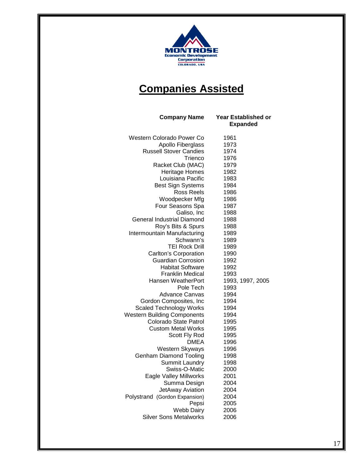

# **Companies Assisted**

| <b>Company Name</b>                | Year Established or<br><b>Expanded</b> |
|------------------------------------|----------------------------------------|
| Western Colorado Power Co          | 1961                                   |
| Apollo Fiberglass                  | 1973                                   |
| <b>Russell Stover Candies</b>      | 1974                                   |
| Trienco                            | 1976                                   |
| Racket Club (MAC)                  | 1979                                   |
| <b>Heritage Homes</b>              | 1982                                   |
| Louisiana Pacific                  | 1983                                   |
| <b>Best Sign Systems</b>           | 1984                                   |
| Ross Reels                         | 1986                                   |
| Woodpecker Mfg                     | 1986                                   |
| Four Seasons Spa                   | 1987                                   |
| Galiso, Inc                        | 1988                                   |
| General Industrial Diamond         | 1988                                   |
| Roy's Bits & Spurs                 | 1988                                   |
| Intermountain Manufacturing        | 1989                                   |
| Schwann's                          | 1989                                   |
| <b>TEI Rock Drill</b>              | 1989                                   |
| <b>Carlton's Corporation</b>       | 1990                                   |
| <b>Guardian Corrosion</b>          | 1992                                   |
| <b>Habitat Software</b>            | 1992                                   |
| <b>Franklin Medical</b>            | 1993                                   |
| Hansen WeatherPort                 | 1993, 1997, 2005                       |
| Pole Tech<br><b>Advance Canvas</b> | 1993<br>1994                           |
| Gordon Composites, Inc             | 1994                                   |
| <b>Scaled Technology Works</b>     | 1994                                   |
| <b>Western Building Components</b> | 1994                                   |
| Colorado State Patrol              | 1995                                   |
| <b>Custom Metal Works</b>          | 1995                                   |
| Scott Fly Rod                      | 1995                                   |
| <b>DMEA</b>                        | 1996                                   |
| Western Skyways                    | 1996                                   |
| <b>Genham Diamond Tooling</b>      | 1998                                   |
| <b>Summit Laundry</b>              | 1998                                   |
| Swiss-O-Matic                      | 2000                                   |
| Eagle Valley Millworks             | 2001                                   |
| Summa Design                       | 2004                                   |
| JetAway Aviation                   | 2004                                   |
| Polystrand (Gordon Expansion)      | 2004                                   |
| Pepsi                              | 2005                                   |
| <b>Webb Dairy</b>                  | 2006                                   |
| <b>Silver Sons Metalworks</b>      | 2006                                   |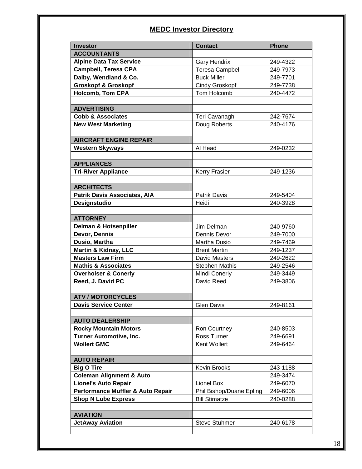### **MEDC Investor Directory**

| <b>Investor</b>                     | <b>Contact</b>           | <b>Phone</b> |
|-------------------------------------|--------------------------|--------------|
| <b>ACCOUNTANTS</b>                  |                          |              |
| <b>Alpine Data Tax Service</b>      | <b>Gary Hendrix</b>      | 249-4322     |
| <b>Campbell, Teresa CPA</b>         | <b>Teresa Campbell</b>   | 249-7973     |
| Dalby, Wendland & Co.               | <b>Buck Miller</b>       | 249-7701     |
| <b>Groskopf &amp; Groskopf</b>      | Cindy Groskopf           | 249-7738     |
| <b>Holcomb, Tom CPA</b>             | Tom Holcomb              | 240-4472     |
|                                     |                          |              |
| <b>ADVERTISING</b>                  |                          |              |
| <b>Cobb &amp; Associates</b>        | Teri Cavanagh            | 242-7674     |
| <b>New West Marketing</b>           | Doug Roberts             | 240-4176     |
|                                     |                          |              |
| <b>AIRCRAFT ENGINE REPAIR</b>       |                          |              |
| <b>Western Skyways</b>              | Al Head                  | 249-0232     |
|                                     |                          |              |
| <b>APPLIANCES</b>                   |                          |              |
| <b>Tri-River Appliance</b>          | <b>Kerry Frasier</b>     | 249-1236     |
|                                     |                          |              |
| <b>ARCHITECTS</b>                   |                          |              |
| <b>Patrik Davis Associates, AIA</b> | Patrik Davis             | 249-5404     |
| Designstudio                        | Heidi                    | 240-3928     |
|                                     |                          |              |
| <b>ATTORNEY</b>                     |                          |              |
| Delman & Hotsenpiller               | Jim Delman               | 240-9760     |
| Devor, Dennis                       | Dennis Devor             | 249-7000     |
| Dusio, Martha                       | Martha Dusio             | 249-7469     |
| <b>Martin &amp; Kidnay, LLC</b>     | <b>Brent Martin</b>      | 249-1237     |
| <b>Masters Law Firm</b>             | David Masters            | 249-2622     |
| <b>Mathis &amp; Associates</b>      | Stephen Mathis           | 249-2546     |
| <b>Overholser &amp; Conerly</b>     | Mindi Conerly            | 249-3449     |
| Reed, J. David PC                   | David Reed               | 249-3806     |
|                                     |                          |              |
| <b>ATV / MOTORCYCLES</b>            |                          |              |
| <b>Davis Service Center</b>         | Glen Davis               | 249-8161     |
|                                     |                          |              |
| <b>AUTO DEALERSHIP</b>              |                          |              |
| <b>Rocky Mountain Motors</b>        | Ron Courtney             | 240-8503     |
| <b>Turner Automotive, Inc.</b>      | Ross Turner              | 249-6691     |
| <b>Wollert GMC</b>                  | Kent Wollert             | 249-6464     |
|                                     |                          |              |
| <b>AUTO REPAIR</b>                  |                          |              |
| <b>Big O Tire</b>                   | Kevin Brooks             | 243-1188     |
| <b>Coleman Alignment &amp; Auto</b> |                          | 249-3474     |
| <b>Lionel's Auto Repair</b>         | Lionel Box               | 249-6070     |
| Performance Muffler & Auto Repair   | Phil Bishop/Duane Epling | 249-6006     |
| <b>Shop N Lube Express</b>          | <b>Bill Stimatze</b>     | 240-0288     |
|                                     |                          |              |
| <b>AVIATION</b>                     |                          |              |
| <b>JetAway Aviation</b>             | <b>Steve Stuhmer</b>     | 240-6178     |
|                                     |                          |              |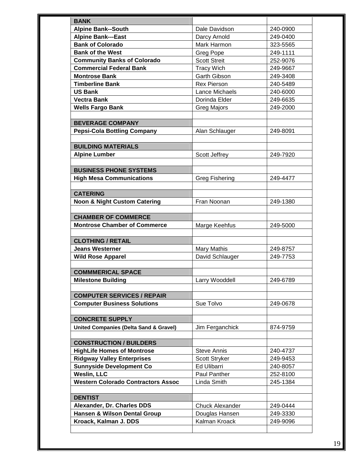| <b>BANK</b>                                                             |                                          |                      |
|-------------------------------------------------------------------------|------------------------------------------|----------------------|
| <b>Alpine Bank--South</b>                                               | Dale Davidson                            | 240-0900             |
| <b>Alpine Bank---East</b>                                               | Darcy Arnold                             | 249-0400             |
| <b>Bank of Colorado</b>                                                 | Mark Harmon                              | 323-5565             |
| <b>Bank of the West</b>                                                 | <b>Greg Pope</b>                         | 249-1111             |
| <b>Community Banks of Colorado</b>                                      | <b>Scott Streit</b>                      | 252-9076             |
| <b>Commercial Federal Bank</b>                                          | <b>Tracy Wich</b>                        | 249-9667             |
| <b>Montrose Bank</b>                                                    | <b>Garth Gibson</b>                      | 249-3408             |
| <b>Timberline Bank</b>                                                  | <b>Rex Pierson</b>                       | 240-5489             |
| <b>US Bank</b>                                                          | Lance Michaels                           | 240-6000             |
| <b>Vectra Bank</b>                                                      | Dorinda Elder                            | 249-6635             |
| <b>Wells Fargo Bank</b>                                                 | Greg Majors                              | 249-2000             |
| <b>BEVERAGE COMPANY</b>                                                 |                                          |                      |
| <b>Pepsi-Cola Bottling Company</b>                                      | Alan Schlauger                           | 249-8091             |
| <b>BUILDING MATERIALS</b>                                               |                                          |                      |
| <b>Alpine Lumber</b>                                                    |                                          | 249-7920             |
|                                                                         | Scott Jeffrey                            |                      |
| <b>BUSINESS PHONE SYSTEMS</b>                                           |                                          |                      |
| <b>High Mesa Communications</b>                                         | <b>Greg Fishering</b>                    | 249-4477             |
|                                                                         |                                          |                      |
| <b>CATERING</b>                                                         |                                          |                      |
| <b>Noon &amp; Night Custom Catering</b>                                 | Fran Noonan                              | 249-1380             |
| <b>CHAMBER OF COMMERCE</b>                                              |                                          |                      |
| <b>Montrose Chamber of Commerce</b>                                     | Marge Keehfus                            | 249-5000             |
| <b>CLOTHING / RETAIL</b>                                                |                                          |                      |
| <b>Jeans Westerner</b>                                                  | Mary Mathis                              | 249-8757             |
| <b>Wild Rose Apparel</b>                                                | David Schlauger                          | 249-7753             |
|                                                                         |                                          |                      |
|                                                                         |                                          |                      |
| <b>COMMMERICAL SPACE</b><br><b>Milestone Building</b>                   | Larry Wooddell                           | 249-6789             |
|                                                                         |                                          |                      |
| <b>COMPUTER SERVICES / REPAIR</b><br><b>Computer Business Solutions</b> | Sue Tolvo                                | 249-0678             |
|                                                                         |                                          |                      |
| <b>CONCRETE SUPPLY</b>                                                  |                                          |                      |
| <b>United Companies (Delta Sand &amp; Gravel)</b>                       | Jim Ferganchick                          | 874-9759             |
| <b>CONSTRUCTION / BUILDERS</b>                                          |                                          |                      |
| <b>HighLife Homes of Montrose</b>                                       | <b>Steve Annis</b>                       | 240-4737             |
| <b>Ridgway Valley Enterprises</b>                                       | Scott Stryker                            | 249-9453             |
| <b>Sunnyside Development Co</b>                                         | Ed Ulibarri                              | 240-8057             |
|                                                                         | Paul Panther                             | 252-8100             |
| <b>Weslin, LLC</b><br><b>Western Colorado Contractors Assoc</b>         | Linda Smith                              | 245-1384             |
|                                                                         |                                          |                      |
| <b>DENTIST</b>                                                          |                                          |                      |
| Alexander, Dr. Charles DDS<br>Hansen & Wilson Dental Group              | <b>Chuck Alexander</b><br>Douglas Hansen | 249-0444<br>249-3330 |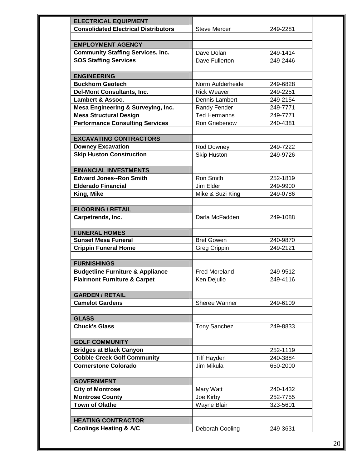| <b>ELECTRICAL EQUIPMENT</b>                 |                                  |          |
|---------------------------------------------|----------------------------------|----------|
| <b>Consolidated Electrical Distributors</b> | <b>Steve Mercer</b>              | 249-2281 |
|                                             |                                  |          |
| <b>EMPLOYMENT AGENCY</b>                    |                                  |          |
| <b>Community Staffing Services, Inc.</b>    | Dave Dolan                       | 249-1414 |
| <b>SOS Staffing Services</b>                | Dave Fullerton                   | 249-2446 |
|                                             |                                  |          |
| <b>ENGINEERING</b>                          |                                  |          |
| <b>Buckhorn Geotech</b>                     | Norm Aufderheide                 | 249-6828 |
| <b>Del-Mont Consultants, Inc.</b>           | <b>Rick Weaver</b>               | 249-2251 |
| <b>Lambert &amp; Assoc.</b>                 | Dennis Lambert                   | 249-2154 |
| Mesa Engineering & Surveying, Inc.          | Randy Fender                     | 249-7771 |
| <b>Mesa Structural Design</b>               | <b>Ted Hermanns</b>              | 249-7771 |
| <b>Performance Consulting Services</b>      | Ron Griebenow                    | 240-4381 |
|                                             |                                  |          |
| <b>EXCAVATING CONTRACTORS</b>               |                                  |          |
| <b>Downey Excavation</b>                    | Rod Downey                       | 249-7222 |
| <b>Skip Huston Construction</b>             | <b>Skip Huston</b>               | 249-9726 |
|                                             |                                  |          |
| <b>FINANCIAL INVESTMENTS</b>                |                                  |          |
| <b>Edward Jones--Ron Smith</b>              | Ron Smith                        | 252-1819 |
| <b>Elderado Financial</b>                   | Jim Elder                        | 249-9900 |
| King, Mike                                  | Mike & Suzi King                 | 249-0786 |
| <b>FLOORING / RETAIL</b>                    |                                  |          |
| Carpetrends, Inc.                           | Darla McFadden                   | 249-1088 |
|                                             |                                  |          |
| <b>FUNERAL HOMES</b>                        |                                  |          |
| <b>Sunset Mesa Funeral</b>                  | <b>Bret Gowen</b>                | 240-9870 |
| <b>Crippin Funeral Home</b>                 | <b>Greg Crippin</b>              | 249-2121 |
|                                             |                                  |          |
| <b>FURNISHINGS</b>                          |                                  |          |
| <b>Budgetline Furniture &amp; Appliance</b> | <b>Fred Moreland</b>             | 249-9512 |
| <b>Flairmont Furniture &amp; Carpet</b>     | Ken Deiulio                      | 249-4116 |
|                                             |                                  |          |
| <b>GARDEN / RETAIL</b>                      |                                  |          |
| <b>Camelot Gardens</b>                      | Sheree Wanner                    | 249-6109 |
|                                             |                                  |          |
| <b>GLASS</b>                                |                                  |          |
| <b>Chuck's Glass</b>                        | <b>Tony Sanchez</b>              | 249-8833 |
| <b>GOLF COMMUNITY</b>                       |                                  |          |
| <b>Bridges at Black Canyon</b>              |                                  | 252-1119 |
| <b>Cobble Creek Golf Community</b>          |                                  | 240-3884 |
| <b>Cornerstone Colorado</b>                 | <b>Tiff Hayden</b><br>Jim Mikula | 650-2000 |
|                                             |                                  |          |
| <b>GOVERNMENT</b>                           |                                  |          |
| <b>City of Montrose</b>                     | Mary Watt                        | 240-1432 |
| <b>Montrose County</b>                      | Joe Kirby                        | 252-7755 |
| <b>Town of Olathe</b>                       | Wayne Blair                      | 323-5601 |
|                                             |                                  |          |
| <b>HEATING CONTRACTOR</b>                   |                                  |          |
| <b>Coolings Heating &amp; A/C</b>           | Deborah Cooling                  | 249-3631 |
|                                             |                                  |          |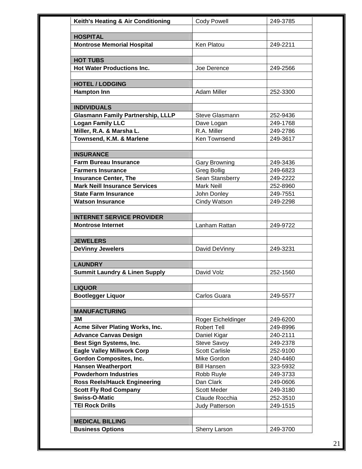| Keith's Heating & Air Conditioning                           | <b>Cody Powell</b>    | 249-3785 |
|--------------------------------------------------------------|-----------------------|----------|
| <b>HOSPITAL</b>                                              |                       |          |
|                                                              |                       |          |
| <b>Montrose Memorial Hospital</b>                            | Ken Platou            | 249-2211 |
| <b>HOT TUBS</b>                                              |                       |          |
| <b>Hot Water Productions Inc.</b>                            | Joe Derence           | 249-2566 |
|                                                              |                       |          |
| <b>HOTEL / LODGING</b>                                       |                       |          |
| <b>Hampton Inn</b>                                           | Adam Miller           | 252-3300 |
| <b>INDIVIDUALS</b>                                           |                       |          |
| <b>Glasmann Family Partnership, LLLP</b>                     | Steve Glasmann        | 252-9436 |
| <b>Logan Family LLC</b>                                      | Dave Logan            | 249-1768 |
| Miller, R.A. & Marsha L.                                     | R.A. Miller           | 249-2786 |
| Townsend, K.M. & Marlene                                     | Ken Townsend          | 249-3617 |
|                                                              |                       |          |
| <b>INSURANCE</b>                                             |                       |          |
| <b>Farm Bureau Insurance</b>                                 | <b>Gary Browning</b>  | 249-3436 |
| <b>Farmers Insurance</b>                                     | <b>Greg Bollig</b>    | 249-6823 |
| <b>Insurance Center, The</b>                                 | Sean Stansberry       | 249-2222 |
| <b>Mark Neill Insurance Services</b>                         | Mark Neill            | 252-8960 |
| <b>State Farm Insurance</b>                                  | John Donley           | 249-7551 |
| <b>Watson Insurance</b>                                      | Cindy Watson          | 249-2298 |
|                                                              |                       |          |
| <b>INTERNET SERVICE PROVIDER</b><br><b>Montrose Internet</b> |                       |          |
|                                                              | Lanham Rattan         | 249-9722 |
| <b>JEWELERS</b>                                              |                       |          |
| <b>DeVinny Jewelers</b>                                      | David DeVinny         | 249-3231 |
|                                                              |                       |          |
| <b>LAUNDRY</b>                                               |                       |          |
| <b>Summit Laundry &amp; Linen Supply</b>                     | David Volz            | 252-1560 |
| <b>LIQUOR</b>                                                |                       |          |
| <b>Bootlegger Liquor</b>                                     | Carlos Guara          | 249-5577 |
|                                                              |                       |          |
| <b>MANUFACTURING</b>                                         |                       |          |
| 3M                                                           | Roger Eicheldinger    | 249-6200 |
| Acme Silver Plating Works, Inc.                              | Robert Tell           | 249-8996 |
| <b>Advance Canvas Design</b>                                 | Daniel Kigar          | 240-2111 |
| Best Sign Systems, Inc.                                      | Steve Savoy           | 249-2378 |
| <b>Eagle Valley Millwork Corp</b>                            | <b>Scott Carlisle</b> | 252-9100 |
| <b>Gordon Composites, Inc.</b>                               | Mike Gordon           | 240-4460 |
| <b>Hansen Weatherport</b>                                    | <b>Bill Hansen</b>    | 323-5932 |
| <b>Powderhorn Industries</b>                                 | Robb Ruyle            | 249-3733 |
| <b>Ross Reels/Hauck Engineering</b>                          | Dan Clark             | 249-0606 |
| <b>Scott Fly Rod Company</b>                                 | <b>Scott Meder</b>    | 249-3180 |
| <b>Swiss-O-Matic</b>                                         | Claude Rocchia        | 252-3510 |
| <b>TEI Rock Drills</b>                                       | Judy Patterson        | 249-1515 |
|                                                              |                       |          |
| <b>MEDICAL BILLING</b><br><b>Business Options</b>            | Sherry Larson         | 249-3700 |
|                                                              |                       |          |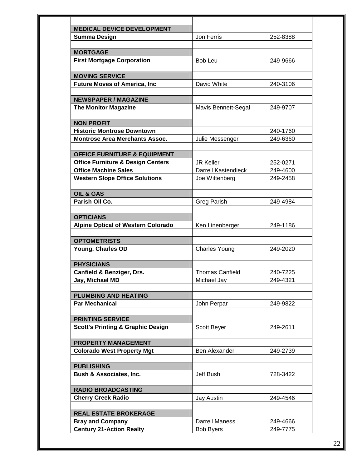| <b>MEDICAL DEVICE DEVELOPMENT</b>                       |                        |          |
|---------------------------------------------------------|------------------------|----------|
| <b>Summa Design</b>                                     | Jon Ferris             | 252-8388 |
|                                                         |                        |          |
| <b>MORTGAGE</b>                                         |                        |          |
| <b>First Mortgage Corporation</b>                       | Bob Leu                | 249-9666 |
|                                                         |                        |          |
| <b>MOVING SERVICE</b>                                   |                        |          |
| <b>Future Moves of America, Inc.</b>                    | David White            | 240-3106 |
| <b>NEWSPAPER / MAGAZINE</b>                             |                        |          |
| <b>The Monitor Magazine</b>                             | Mavis Bennett-Segal    | 249-9707 |
|                                                         |                        |          |
| <b>NON PROFIT</b>                                       |                        |          |
| <b>Historic Montrose Downtown</b>                       |                        | 240-1760 |
| <b>Montrose Area Merchants Assoc.</b>                   | Julie Messenger        | 249-6360 |
|                                                         |                        |          |
| <b>OFFICE FURNITURE &amp; EQUIPMENT</b>                 |                        |          |
| <b>Office Furniture &amp; Design Centers</b>            | <b>JR Keller</b>       | 252-0271 |
| <b>Office Machine Sales</b>                             | Darrell Kastendieck    | 249-4600 |
| <b>Western Slope Office Solutions</b>                   | Joe Wittenberg         | 249-2458 |
|                                                         |                        |          |
| <b>OIL &amp; GAS</b>                                    |                        |          |
| Parish Oil Co.                                          | <b>Greg Parish</b>     | 249-4984 |
| <b>OPTICIANS</b>                                        |                        |          |
| <b>Alpine Optical of Western Colorado</b>               | Ken Linenberger        | 249-1186 |
|                                                         |                        |          |
| <b>OPTOMETRISTS</b>                                     |                        |          |
| Young, Charles OD                                       | <b>Charles Young</b>   | 249-2020 |
|                                                         |                        |          |
| <b>PHYSICIANS</b>                                       |                        |          |
| Canfield & Benziger, Drs.                               | <b>Thomas Canfield</b> | 240-7225 |
| Jay, Michael MD                                         | Michael Jav            | 249-4321 |
|                                                         |                        |          |
| <b>PLUMBING AND HEATING</b>                             |                        |          |
| <b>Par Mechanical</b>                                   | John Perpar            | 249-9822 |
| <b>PRINTING SERVICE</b>                                 |                        |          |
| <b>Scott's Printing &amp; Graphic Design</b>            | Scott Beyer            | 249-2611 |
|                                                         |                        |          |
| <b>PROPERTY MANAGEMENT</b>                              |                        |          |
| <b>Colorado West Property Mgt</b>                       | Ben Alexander          | 249-2739 |
|                                                         |                        |          |
| <b>PUBLISHING</b>                                       |                        |          |
| <b>Bush &amp; Associates, Inc.</b>                      | Jeff Bush              | 728-3422 |
|                                                         |                        |          |
| <b>RADIO BROADCASTING</b>                               |                        |          |
| <b>Cherry Creek Radio</b>                               | Jay Austin             | 249-4546 |
|                                                         |                        |          |
|                                                         |                        |          |
| <b>REAL ESTATE BROKERAGE</b><br><b>Bray and Company</b> | <b>Darrell Maness</b>  | 249-4666 |